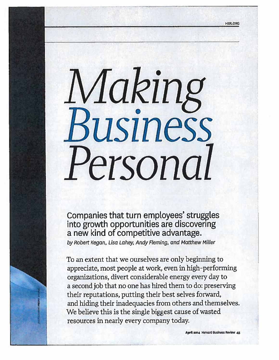# Making<br>Business Personal Business

Companies that turn employees' struggles into growth opportunities are discovering <sup>a</sup> new kind of competitive advantage. by Robert Kegan, Lisa Lahey, Andy Fleming, and Matthew Miller

To an extent that we ourselves are only beginning to appreciate, most people at work, even in high-performing organizations, divert considerable energy every day to <sup>a</sup> second job that no one has hired them to do; preserving their reputations, putting their best selves forward, and hiding their inadequacies from others and themselves. We believe this is the single biggest cause of wasted resources in nearly every company today.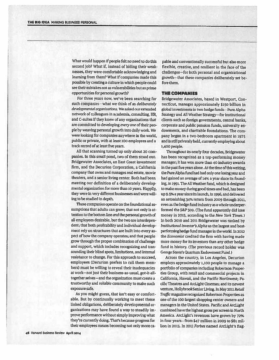What would happen if people felt no need to do this second job? What if, instead of hiding their weak nesses, they were comfortable acknowledging and learning from them? What if companies made this possible by creating <sup>a</sup> culture in which people could see their mistakes not as vulnenbilities but as prime opportunities for personal growth?

For three years now, we've been searching for such companies-what we think of as deliberately developmental organizations. We asked our extended network of colleagues in academia, consulting, HR, and C-suites if they knew of any organizations that are committed to developing every one of their peo<sup>p</sup>ie by weaving personal growth into daily work. We were looking for companies anywhere in the world. public or private, with at least too employees and <sup>a</sup> track record of at least five years.

All that scanning turned up only about <sup>20</sup> com panies. In this small pond, two of them stood out: Bridgewater Associates, an East Coast investment firm, and the Decurion Corporation, <sup>a</sup> California company that owns and manages real estate, movie theaters, and <sup>a</sup> senior living center. Both had been meeting our definition of <sup>a</sup> deliberately develop nental organization for more than jo years. Happily, they were in very different businesses and were will ing to be studied in depth.

These companies operate on the foundational as sumptions that adults can grow; that not only is at tention to the bottom line and the personal growth of all employees desirable, but the two are interdepen dent; that both profitability and individual develop ment rely on structures that are built into every as pect of how the company operates; and that people grow through the propercombination of challenge and support, which includes recognizing and tran scending their blind spots, limitations, and internal resistance to change. For this approach to succeed, employees (Decurion prefers to call them members) must be willing to reveal their inadequacies at work—not just their business-as-usual, got-it-alltogether selves—and the organization must create <sup>a</sup> trustworthy and reliable community to make such exposure safe.

As you might guess, that isn't easy or comfort able. But by continually working to meet these linked obligations, deliberately developmental or ganizations may have found <sup>a</sup> way to steadily im prove performance without simply improving what they're currently doing. That's because progress for their employees means becoming not only more ca pable and conventionally successful but also more flexible, creative, and resilient in the face of the challenges—for both personal and organizational growth—that these companies deliberately set be fore them.

## THE COMPANIES

Bridgewater Associates, based in Westport, Con necticut, manages approximately \$150 billion in <sup>g</sup>lobal investments in two hedge fiinds-Pure Alpha Strategy and All Weather Strategy—for institutional clients such as foreign governments, central banks, corporate and public pension funds, university endowinents, and charitable foundations. The com pany began in <sup>a</sup> two-bedroom apartment in <sup>1975</sup> and is still privately held, currently employing about <sup>1400</sup> people.

Throughout its nearly four decades, Bridgewater has been recognized as <sup>a</sup> top-performing money manager; it has won more than <sup>40</sup> industry awards in the past five years alone. At the time of this writing, the Pure Alpha fund had had only one losing year and had gained an average of 14% <sup>a</sup> year since its found ing, in 1991. The All Weather fund, which is designed to make money during good times and bad, has been up 9.5% a year since its launch, in 1996, and delivered an astonishing 34% return from <sup>2009</sup> through 2011, even as the hedge fund industry as a whole underperformed the S&P 500. (The fund apparently did lose money in 2013, according to the New York Times.) In both <sup>2010</sup> and <sup>2011</sup> Bridgewater was ranked by Institutional Investor's Alpha as the largest and bestperforming hedge fund manager in the world. In <sup>2012</sup> the Economist credited the firm with having made more money for its investors than any other hedge fund in history. (The previous record holder was George Soros's Quantum Endowment Fund.)

Across the country, in Los Angeles, Decurion employs approximately 1,100 people to manage <sup>a</sup> portfolio of companies including Robertson Proper ties Group, with retail and commercial projects in California, Hawaii, and the Pacific Northwest; Pacific Theatres and ArcLight Cinemas; and its newest venture, Hollybrook Senior Living. In May 2011 Retail Traffic magazine recognized Robertson Properties as one of the <sup>100</sup> largest shopping center owners and managers in the United States. Pacific and ArcLight combined have the highest gross per screen in North America. ArcLight's revenues have grown by 72% in four years—from \$47 million in 2009 to \$81 mil lion in 2013. In <sup>2012</sup> Forbes named ArcLight's flag-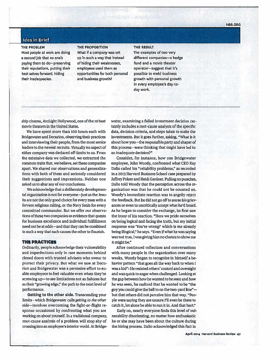#### HBR.ORG

# Idea in Brief

## THE PROBLEM

Most people at work are doing <sup>a</sup> second job that no one's paying them to do—preserving their reputations, putting their best selves forward, hiding their inadequacies,

#### THE PROPOSITION

What if <sup>a</sup> company was set up in such <sup>a</sup> way that instead of hiding their weaknesses, empLoyees used them as opportunities for both personal and business growth?

#### THE RESULT

atium and is a

The examples of two very different companies—a hedge fund and <sup>a</sup> movie theater operator—suggest that it's possible to meld business growth with personal growth in every employee's day-to day work.

ship cinema, ArcLight Hollywood, one of the 10 best movie theaters in the United States.

We have spen<sup>t</sup> more than 100 hours each with Bridgewater and Decurion, observing their practices and interviewing their people, from the most senior leaders to the newest recruits. Virtually no aspec<sup>t</sup> of either company was declared oft-limits to us. From the extensive data we collected, we extracted the common traits that, webelieve, set these companies apart. We shared our observations and generaliza tions with both of them and seriously considered their suggestions and impressions, Neither one asked us to alter any of our conclusions.

We acknowledge that <sup>a</sup> deliberately developmen tal organization is not for everyone—just as the Jesu its are not the only good choice for every man with <sup>a</sup> fervent religious calling, or the Navy Seals for every committed commander. But we offer our observations of these two companies as evidence that quests for business excellence and individual fulfillment need not be at odds—and that they can be combined in such <sup>a</sup> way that each causes the other to flourish.

### THE PRACTICES

Ordinarily, people acknowledge their vulnerability and imperfections only in rare moments behind closed doors with trusted advisers who swear to protect their privacy. But what we saw at Decu rion and Bridgewater was a pervasive effort to enable employees to feel valuable even when they're screwing up—to see limitations not as failures but as their "growing edge," the path to the next level of performance.

Getting to the other side. Transcending your limits-which Bridgewater calls getting to the other side--involves overcoming the fight-or-flight response occasioned by confronting what you are working on about yourself. In <sup>a</sup> traditional company, root-cause analysis of <sup>a</sup> problem will stop shy of crossing into an employee's interior world. At Bridgewater, examining <sup>a</sup> failed investment decision cer tainly includes <sup>a</sup> root-cause analysis of the specific data, decision criteria, and steps taken to make the investments. But it goes further, asking. "What is it about how you—the responsible party and shaper of this process—were thinking that might have led to an inadequate decision?"

Consider, for instance, how one Bridgewater employee, John Woody, confronted what CEO Ray Dalio called his "reliability problems," as recorded in <sup>a</sup> <sup>2013</sup> Harvard Business School case prepared by Jeffrey Polzer and Heidi Gardner. Pulling no punches, Dalio told Woody that the perception across the organization was that he could not be counted on. Woody's immediate reaction was to angrily reject the feedback. But he did not go off to nurse his grievances or even to uncritically accep<sup>t</sup> what he'd heard. As he began to consider the exchange, he first saw the irony of his reaction. "Here we pride ourselves on being logical and facing the truth, but my initial response was 'You're wrong!' which is me already being illogical," he says. "Even if what he was saying was not true, Iwas giving himno chance to showme it might be."

After continued reflection and conversations with many people in the organization over many weeks, Woody began to recognize in himself <sup>a</sup> be havior pattern "that goes all the way back to when I was <sup>a</sup> kid": He resisted others' control and oversight and was quick to anger when challenged. Looking at the gap between how he wanted to be seen and how he was seen, he realized that he wanted to be "the guyyou could give the ball to on the two-yard line" but that others did not perceive him that way. "Peo ple were saying they are unsure I'll even be there to catch it, let alone be able to run it in. And that hurt."

Early on, nearly everyone finds this level of vul nerability disorienting, no matter how enthusiastic he or she may have been about the culture during the hiring process. Dalio acknowledged this fact in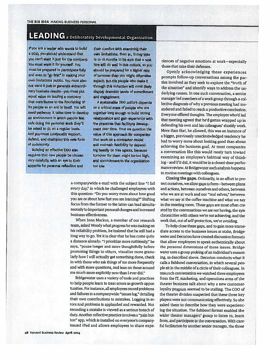# LEADING <sup>a</sup> Deliberately Developmental Organization

If you are <sup>a</sup> leader who wants to build <sup>a</sup> flOO, you should understand that you can't want it just for the company. You must want it for yourself. You must be prepared to participate fully and even to "go first" in making your own limitations public. You must also not want it just to generate extraordinary business results—you must put equal value on leading a company that contributes to the flourishing of its people as an end in itself. You will need patience; It takes time to develop an environment In which people feet safe doing the personal work they'll be asked to do on <sup>a</sup> regular basis. And you must continually support. defend, and champion this new form of communiq'.

Building an effective DOG also requires that new people be chosen very carefully, with an eye to their appetite for personal reflection and

their comfort with examining their own Umltadons Even so. it may take <sup>12</sup> to iS months to be sure that <sup>a</sup> new hire will do well in this culture, so you should be prepared for a higher rate of turnover than you might otherwise expect But the people who make ft through this induction will most likely display dramatic levels of commitment and engagement.

A sustainable DDO culture depends on <sup>a</sup> crfticat mass of people who are together long enough to build strong relationships and gain experience with the practices that facilitate development aver time. Thus we question the value of this approach for companies that work on <sup>a</sup> contractor model and maintain flexibility by depending heavily on free agents, because turnover for them might be too high, and commitnentto the organization too low-

<sup>a</sup> companywide e-mail with the subject line "I fail every day," in which he challenged employees with this question: "Do YOU worry more about how good you are or about how fast you are learning?" Shifting focus from the former to the latter can lead simulta neously to important personal changes and in ceased business effectiveness.

When Inna Markus, a member of our research team, asked Woody what progress he was making on his reliability problem, he insisted that he still had <sup>a</sup> long way to go. Yet it is clear that he has come quite a distance already: "I prioritize more ruthlessly," he says, "pause longer and more thoughtfully before promising things to others, visualize more granu larly how <sup>I</sup> will actually get something done, check in with those who ask things of me more frequently and with more questions, and lean on those around me much more explicitly now than I ever did."

Bridgewater uses a variety of tools and practices to help people learn to treat errors as growth oppor tunities. For instance, all employees record problems and failures in a companywide "issues log," detailing their own contributions to mistakes. Logging in er rors and problems is applauded and rewarded. Not recording a mistake is viewed as a serious breach of duty. Another reflective practice involves <sup>a</sup> "pain but ton" app, which is installed on everyone's companyissued iPad and allows employees to share expe riences of negative emotions at work—especially those that raise their defenses.

Openly acknowledging those experiences prompts follow-up conversations among the par ties involved as they seek to explore the "truth of the situation" and identify ways to address the un derlying causes. In one such conversation, <sup>a</sup> senior manager led members of <sup>a</sup> workgroup through <sup>a</sup> col lective diagnosis of why <sup>a</sup> previous meeting had me andered and failed to reach <sup>a</sup> productive conclusion. Everyone offered thoughts. The employee who'd led that meeting agreed that he'd gotten wrapped up in defending his own and his colleagues' shoddy work. More than that, he allowed, this was an instance of <sup>a</sup> bigger, previously unacknowledged tendency he had to worry more about looking good than about achieving the business goal. At most companies <sup>a</sup> conversation like this would rarely turn toward examining an employee's habitual way of think ing-and if it did, it would be in a closed-door performance review. At Bridgewater such analysis happens in routine meetings with colleagues.

Closing the gaps. Ordinarily, in an effort to protect ourselves, we allow gaps to form-between plans and actions, between ourselves and others, between who we are at work and our "real selves," between what we say at the coffee machine and what we say in the meeting room. These gaps are most often cre ated by the conversations we are not having, the syn chronicities with others we're not achieving, and the work that, out ofself-protection. we're avoiding.

To help dose these gaps, and to gain more imme diate access to the business issues at stake, Bridgewater and Decurion have created discussion formats that allow employees to speak authentically about the personal dimensions of those issues. Bridge wateruses <sup>a</sup> group probing of an individual's reason ing, as described above. Decurion conducts what it calls <sup>a</sup> fishbowl conversation, in which several peo ple sit in the middle of a circle of their colleagues. In one such conversation we watched three employees from the IT, marketing, and operations arms of the theater business talk about why <sup>a</sup> new customerloyalty program seemed to be stalling. The COO of the theater division suspected that these three key <sup>p</sup>layers were not communicating effectively. So she asked them to describe how they were experienc ing the situation. The fishbowl format enabled the wider theater managers' group to listen to, learn from, and participate in the conversation. With care ftil facilitation by another senior manager, the three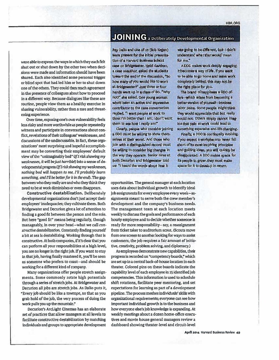# were able to express the ways in which they each felt shut out or shut down by the other two when deci sions were made and information should have been shared. Each also identified some personal trigger or blind spo<sup>t</sup> that had led him other to shut down one of the others. They could then reach agreemen<sup>t</sup> in the presence of colleagues about how to proceed in a different way. Because dialogues like these are routine, people view them as <sup>a</sup> healthy exercise in sharing vulnerability, rather than a rare and threatening experience.

Over time, exposing one's own vulnerability feels less risky and more worthwhile as people repeatedly witness and participate in conversations about con flict, revelations of their colleagues' weaknesses, and discussions of the undiscussable. In fact, these orga nizations' most surprising and hopeful accomplish ment may be converting their employees' default view of the "unimaginably bad" Uf I risk showing my weaknesses, it will bejust horrible!) into <sup>a</sup> sense of de velopmental progress (If I risk showing my weaknesses, nothing bad will happen to me, I'll probably learn something, and I'll be better for it in the end). The gap between who they really are and who they think they need to be at work diminishes or even disappears.

Constructive destabilization. Deliberately developmental organizations don't just accep<sup>t</sup> their employees' inadequacies; they cultivate them- Both Bridgewater and Decurion give a lot of attention to finding <sup>a</sup> good fit between the person and the role. But here "good fit" means being regularly, though manageably, in over your head—what we call con structive destabilization. Constantly finding yourself <sup>a</sup> bit at sea is destabilizing. Working through that is constructive. At both companies, ifit's dear that you can perform all your responsibilities at <sup>a</sup> high level, you are no longer in the right job. If you want to stay in that job, having finally mastered it, you'll be seen as someone who prefers to coast—and should be working for <sup>a</sup> different kind of company.

Many organizations offer people stretch assign ments. Some commonly rotate high potentials through <sup>a</sup> series of stretch jobs. At Bridgewater and Decurion all jobs are stretch jobs. As Dalio puts it, 'Every job should be like <sup>a</sup> towrope, so that as you grab hold of the job, the very process of doing the work pulls you up the mountain."

Decurion's ArcLight Cinemas has an elaborate set of practices that allow managers at all levels to facilitate constructive destabilization by matching individuals and groups to appropriate development

# JOINING a Deliberately Developmental Organization

Bay Dalbo and one or us (Bob Kegan) were present for the initial presentation of <sup>a</sup> Harvard Business School case on Bridgewater. Heidi Gardner. <sup>a</sup> case coauthor, asked the students toward the end of the discussion, "So how many of you would like to work at Bridgewater?" Just three or four hands went up in a class of Bo. "Why not?" she asked. One young woman who'd been an active and impressive contributor to the case conversation replied, "I want people at work to think I'm better than (am; I don't want them to see how I really am!"

Clearly, people who consider joining a DDO must be willing to show themselves at their worst. And those who joIn with <sup>a</sup> distinguished record must be willing to consider big changes in the way they operate. Senior hires at both Decurbon and Bridgewater told us: "I heard the words about how it

was going to be different, but <sup>I</sup> didn't understand what that would mean for me."

A DDD makes work deeply engaging; ft becomes <sup>a</sup> way of Lift. if you want to be able to go home and leave work completely behind, this may not be the right place for you.

The brand of happiness <sup>a</sup> 000 of fers—which arises from becoming a better version of yourself—involves labor pains. Some people might think they would appreciate that but really would not. Others simply cannot irnag ne that pain at work could lead to something expansive and life changing,

Finally, <sup>a</sup> ODD is continually evolving. if you expec<sup>t</sup> <sup>a</sup> workplace to never fall short of its most Inspiring principles and guiding ideas, you will quickly be disappointed. A <sup>000</sup> makes space for its people to grow; they must make space for it to develop in return. a - <del>- Maria - En a</del> <del>- Maria - Mari</del>

opportunities. The general manager at each location uses data about individual growth to identify ideal job assignments for every employee every week—as signments meant to serve both the crew member's development and the company's business needs. The managemen<sup>t</sup> team at each location meets weekly to discuss the goals and performance of each hourly employee and to decide whether someone is ready for more responsibility—say, <sup>a</sup> reassigmnent from ticket taker to auditorium scout. (Scouts move from one screen to another looking for ways to assist customers; the job requires <sup>a</sup> fair amount of initia tive, creativity, problem solving, and diplomacy.)

As employees demonstrate new capabilities, their progress is recorded on 'competency boards:' which are set up in <sup>a</sup> central back-of-house location in each theater. Colored pins on these boards indicate the capability level of each employee in 15 identified job competencies. This information is used to schedule shift rotations, facilitate peer mentoring, and set expectations for learning as par<sup>t</sup> of <sup>a</sup> development pipeline. The process meshes individuals'skills with organizational requirements; everyone can see how important individual growth is to the business and how everyone else's job knowledge is expanding. At weekly meetings about <sup>a</sup> dozen home-office execu tives and movie house general managers review <sup>a</sup> dashboard showing theater-level and circuit-level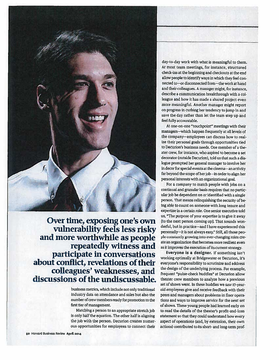

participate in conversations about conflict, revelations of their colleagues' weaknesses, and discussions of the undiscussable. Over time, exposing one's own vulnerability feels less risky and more worthwhile as people repeatedly witness and

> business metrics, which indude not only traditional industry data on attendance and sales but also the number of crew members ready for promotion to the first tier of management.

> Matching <sup>a</sup> person to an appropriate stretch job is only half the equation. The other half is aligning the job with the person. Decurion creates numer ous opportunities for employees to connect their

day-to-day work with what is meaningful to them. At most team meetings, for instance, structured check-ins at the beginning and checkouts at the end allow people to identify ways in which they feel connected to—or disconnected from—the work at hand and their colleagues. <sup>A</sup> manager might, for instance, describe <sup>a</sup> communication breakthrough with <sup>a</sup> col league and how it has made <sup>a</sup> shared project even more meaningful. Another manager might repor<sup>t</sup> on progress in curbing her tendency to jump in and save the day rather than let the team step up and feel fully accountable.

At one-on-one "touchpoint" meetings with their managers—which happen frequently at all levels of the company—employees can discuss how to real ize their persona<sup>l</sup> goals through opportunities tied to Decurion's business needs. One member of a theater crew, for instance, who aspired to become <sup>a</sup> set decorator (outside Decurion), told us that such a dialogue prompted her general manager to involve her in decor for special events at the cinema—an activity far beyond the scope of her job—in order to align her personal interests with an organizational goal.

For <sup>a</sup> company to match people with jobs on <sup>a</sup> continual and granular basis requires that no partic ular job be dependent on or identified with <sup>a</sup> single person. That means relinquishing the security of being able to count on someone with long tenure and expertise in <sup>a</sup> certain role. One senior executive told us, "The purpose of your expertise is to <sup>g</sup>ive it away (to the next person coming up]. That sounds won derful, but in practice—and <sup>I</sup> have experienced this personally--it is not always easy." Still, all those peo<sup>p</sup>le constantly growing into ever-changing roles cre ate an organization that becomes more resilient even as it improves the execution of its current strategy.

Everyone is <sup>a</sup> designer. If something isn't working optimally at Bridgewater or Decurion, it's everyone's responsibility to scrutinize and address the design of the underlying process. For example, frequent "pulse-check huddles" at Decution allow theater crew members to analyze how <sup>a</sup> previous set of shows went. In these huddles we saw 17-yearold employees give and receive feedback with their peers and managers about problems in floor opera tions and ways to improve service for the next set of shows. These young people had learned early on to read the details of the theater's profit-and-loss statement so that they could understand how every aspec<sup>t</sup> of operations (and, by extension, their own actions) contributed to its short- and long-term pro<sup>f</sup>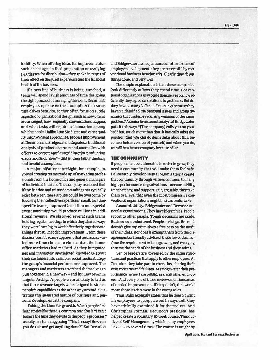itability. When offering ideas for improvements such as changes in food preparation or readying 3-fl glasses for distribution—they spoke in terms of their effect on the gues<sup>t</sup> experience and the financial health of the business.

If <sup>a</sup> new line of business is being launched, <sup>a</sup> team will spend lavish amounts of time designing the right process for managing the work. Decurion's employees operate on the assumption that struc ture drives behavior, so they often focus on subtle aspects of organizational design, such as how offices arc arranged, how frequently conversations happen, and what tasks will require collaboration among which people. Unlike Lean Six Sigma and other quality improvement approaches, process improvement at Decurion and Bridgewater integrates a traditional analysis of production errors and anomalies with efforts to correct employees' "interior production errors and anomalies"—that is, their faulty thinking and invalid assumptions.

A major initiative at ArcLight, for example, in volved creating teams made up of marketing profes sionals from the home office and general managers of individual theaters. The company reasoned that if the friction and misunderstanding that typically exist between these groups could be overcome by focusing their collective expertise in small, locationspecific teams, improved local film and specialevent marketing would produce millions in addi tional revenue. We observed several such teams holding regular meetings in which they shared ways they were learning to work effectively together and things that still needed improvement. From these discussions it became apparen<sup>t</sup> that audiences var ied more from cinema to cinema than the homeoffice marketers had realized. As they integrated general managers' specialized knowledge about their customers into <sup>a</sup> nimblersocial media strategy, the group's financial performance improved. The managers and marketers stretched themselves to pull together in <sup>a</sup> new way—and hit new revenue targets. ArcLight's people were as likely to tell us that those revenue targets were designed to stretch people's capabilities as the other way around, illus trating the integrated nature of business and per sonal development at the company.

Taking the time for growth. When people first hear stories like these, <sup>a</sup> common reaction is "I can't believe the time they devote to the people processes." usually in <sup>a</sup> tone suggesting "This is crazyl How can you do this and ge<sup>t</sup> anything done?" But Decurion

and Bridgewater are not just successfulincubators of employee development; they are successful by con ventional business benchmarks. Clearly they do ge<sup>t</sup> things done, and very well.

The simple explanation is that these companies look differently at how they spend time. Conven tional organizations may pride themselves on how ef fidendy they agree on solutions to problems. But do they have so many "efficient" meetings because they haven't identified the personal issues and group dynamics that underlie recurring versions ofthe same problem? A senior investment analyst at Bridgewater puts it this way: "[The company) calls you on your 'bad: but, much more than that, it basically takes the position that you can do something about this, become abetter version of yourself, and when you do, we will be a better company because of it."

#### THE COMMUNITY

If people must be vulnerable in order to grow, they need <sup>a</sup> community that will make them feel safe. Deliberately developmental organizations create that community through virtues common to many high-performance organizations—accountability, transparency, and support. But, arguably, they take them to <sup>a</sup> level that even the most progressive con ventional organizations might find uncomfortable.

Accountability. Bridgewater and Decurion are not flat organizations. Theyhavehierarchies. People repor<sup>t</sup> to other people. Tough decisions are made. Businesses are shuttered. People are let go. But rank doesn't give top executives <sup>a</sup> free pass on the merit of their ideas, nor does it exempt them from the disagreement or friendly advice of those lower down or from the requirement to keep growing and changing to serve the needs of the business and themselves.

Senior leaders are governed by the same struc tires and practices that apply to other employees. At Decurion they take part in check-ins, sharing their own concems and failures, At Bridgewater their per formance reviews are public, as are all other employ ees'. And every one of those reviews mentions areas of needed improvement-if they didn't, that would mean those leaders were in the wrong roles.

Thus Dalio explicitly states that he doesn't want his employees to accep<sup>t</sup> <sup>a</sup> word he says until they have critically examined it for themselves, And Christopher Forman, Decurion's president, has helped create <sup>a</sup> voluntary to-week course, The Prac tice of Self-Management, which many employees have taken several times. The course is taught by